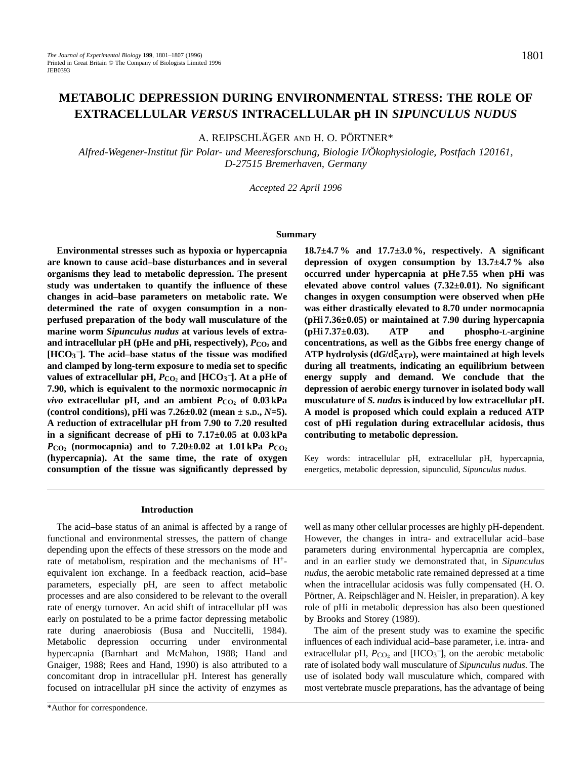# **METABOLIC DEPRESSION DURING ENVIRONMENTAL STRESS: THE ROLE OF EXTRACELLULAR** *VERSUS* **INTRACELLULAR pH IN** *SIPUNCULUS NUDUS*

A. REIPSCHLÄGER AND H. O. PÖRTNER\*

*Alfred-Wegener-Institut für Polar- und Meeresforschung, Biologie I/Ökophysiologie, Postfach 120161, D-27515 Bremerhaven, Germany*

*Accepted 22 April 1996*

#### **Summary**

**Environmental stresses such as hypoxia or hypercapnia are known to cause acid–base disturbances and in several organisms they lead to metabolic depression. The present study was undertaken to quantify the influence of these changes in acid–base parameters on metabolic rate. We determined the rate of oxygen consumption in a nonperfused preparation of the body wall musculature of the marine worm** *Sipunculus nudus* **at various levels of extra**and intracellular pH (pHe and pHi, respectively),  $P_{CO_2}$  and **[HCO3** <sup>−</sup>**]. The acid–base status of the tissue was modified and clamped by long-term exposure to media set to specific values of extracellular pH,**  $P_{CO_2}$  **and [HCO<sub>3</sub><sup>-</sup>]. At a pHe of 7.90, which is equivalent to the normoxic normocapnic** *in vivo* **extracellular pH, and an ambient** *P***CO2 of 0.03 kPa (control conditions), pHi was 7.26±0.02 (mean ± S.D.,** *N***=5). A reduction of extracellular pH from 7.90 to 7.20 resulted in a significant decrease of pHi to 7.17±0.05 at 0.03 kPa**  $P_{\text{CO}_2}$  (normocapnia) and to  $7.20 \pm 0.02$  at  $1.01 \text{ kPa}$   $P_{\text{CO}_2}$ **(hypercapnia). At the same time, the rate of oxygen consumption of the tissue was significantly depressed by**

# **18.7±4.7 % and 17.7±3.0 %, respectively. A significant depression of oxygen consumption by 13.7±4.7 % also occurred under hypercapnia at pHe 7.55 when pHi was elevated above control values (7.32±0.01). No significant changes in oxygen consumption were observed when pHe was either drastically elevated to 8.70 under normocapnia (pHi 7.36±0.05) or maintained at 7.90 during hypercapnia (pHi 7.37±0.03). ATP and phospho-L-arginine concentrations, as well as the Gibbs free energy change of ATP hydrolysis (d***G***/d**ξ**ATP), were maintained at high levels during all treatments, indicating an equilibrium between energy supply and demand. We conclude that the depression of aerobic energy turnover in isolated body wall musculature of** *S. nudus* **is induced by low extracellular pH. A model is proposed which could explain a reduced ATP cost of pHi regulation during extracellular acidosis, thus contributing to metabolic depression.**

Key words: intracellular pH, extracellular pH, hypercapnia, energetics, metabolic depression, sipunculid, *Sipunculus nudus*.

#### **Introduction**

The acid–base status of an animal is affected by a range of functional and environmental stresses, the pattern of change depending upon the effects of these stressors on the mode and rate of metabolism, respiration and the mechanisms of H+ equivalent ion exchange. In a feedback reaction, acid–base parameters, especially pH, are seen to affect metabolic processes and are also considered to be relevant to the overall rate of energy turnover. An acid shift of intracellular pH was early on postulated to be a prime factor depressing metabolic rate during anaerobiosis (Busa and Nuccitelli, 1984). Metabolic depression occurring under environmental hypercapnia (Barnhart and McMahon, 1988; Hand and Gnaiger, 1988; Rees and Hand, 1990) is also attributed to a concomitant drop in intracellular pH. Interest has generally focused on intracellular pH since the activity of enzymes as

well as many other cellular processes are highly pH-dependent. However, the changes in intra- and extracellular acid–base parameters during environmental hypercapnia are complex, and in an earlier study we demonstrated that, in *Sipunculus nudus*, the aerobic metabolic rate remained depressed at a time when the intracellular acidosis was fully compensated (H. O. Pörtner, A. Reipschläger and N. Heisler, in preparation). A key role of pHi in metabolic depression has also been questioned by Brooks and Storey (1989).

The aim of the present study was to examine the specific influences of each individual acid–base parameter, i.e. intra- and extracellular pH,  $P_{CO_2}$  and [HCO<sub>3</sub><sup>-</sup>], on the aerobic metabolic rate of isolated body wall musculature of *Sipunculus nudus*. The use of isolated body wall musculature which, compared with most vertebrate muscle preparations, has the advantage of being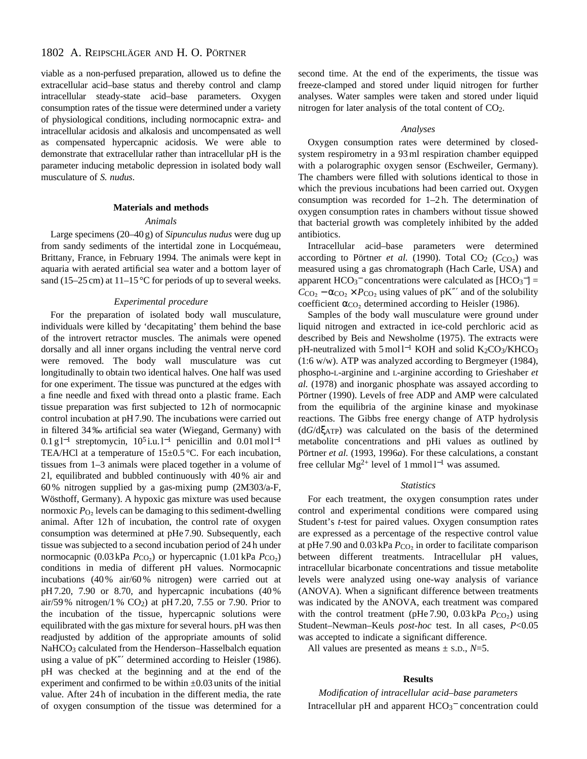# 1802 A. REIPSCHLÄGER AND H. O. PÖRTNER

viable as a non-perfused preparation, allowed us to define the extracellular acid–base status and thereby control and clamp intracellular steady-state acid–base parameters. Oxygen consumption rates of the tissue were determined under a variety of physiological conditions, including normocapnic extra- and intracellular acidosis and alkalosis and uncompensated as well as compensated hypercapnic acidosis. We were able to demonstrate that extracellular rather than intracellular pH is the parameter inducing metabolic depression in isolated body wall musculature of *S. nudus*.

#### **Materials and methods**

## *Animals*

Large specimens (20–40 g) of *Sipunculus nudus* were dug up from sandy sediments of the intertidal zone in Locquémeau, Brittany, France, in February 1994. The animals were kept in aquaria with aerated artificial sea water and a bottom layer of sand (15–25 cm) at  $11-15$  °C for periods of up to several weeks.

## *Experimental procedure*

For the preparation of isolated body wall musculature, individuals were killed by 'decapitating' them behind the base of the introvert retractor muscles. The animals were opened dorsally and all inner organs including the ventral nerve cord were removed. The body wall musculature was cut longitudinally to obtain two identical halves. One half was used for one experiment. The tissue was punctured at the edges with a fine needle and fixed with thread onto a plastic frame. Each tissue preparation was first subjected to 12 h of normocapnic control incubation at pH 7.90. The incubations were carried out in filtered 34 ‰ artificial sea water (Wiegand, Germany) with 0.1 g l<sup>-1</sup> streptomycin, 10<sup>5</sup> i.u. l<sup>-1</sup> penicillin and 0.01 mol l<sup>-1</sup> TEA/HCl at a temperature of  $15 \pm 0.5$  °C. For each incubation, tissues from 1–3 animals were placed together in a volume of 2 l, equilibrated and bubbled continuously with 40 % air and 60 % nitrogen supplied by a gas-mixing pump (2M303/a-F, Wösthoff, Germany). A hypoxic gas mixture was used because normoxic  $P_{\text{O}_2}$  levels can be damaging to this sediment-dwelling animal. After 12h of incubation, the control rate of oxygen consumption was determined at pHe 7.90. Subsequently, each tissue was subjected to a second incubation period of 24 h under normocapnic (0.03 kPa *P*<sub>CO2</sub>) or hypercapnic (1.01 kPa *P*<sub>CO2</sub>) conditions in media of different pH values. Normocapnic incubations (40 % air/60 % nitrogen) were carried out at pH 7.20, 7.90 or 8.70, and hypercapnic incubations (40 % air/59 % nitrogen/1 % CO2) at pH 7.20, 7.55 or 7.90. Prior to the incubation of the tissue, hypercapnic solutions were equilibrated with the gas mixture for several hours. pH was then readjusted by addition of the appropriate amounts of solid NaHCO<sub>3</sub> calculated from the Henderson-Hasselbalch equation using a value of pK"' determined according to Heisler (1986). pH was checked at the beginning and at the end of the experiment and confirmed to be within  $\pm 0.03$  units of the initial value. After 24 h of incubation in the different media, the rate of oxygen consumption of the tissue was determined for a second time. At the end of the experiments, the tissue was freeze-clamped and stored under liquid nitrogen for further analyses. Water samples were taken and stored under liquid nitrogen for later analysis of the total content of CO2.

#### *Analyses*

Oxygen consumption rates were determined by closedsystem respirometry in a 93 ml respiration chamber equipped with a polarographic oxygen sensor (Eschweiler, Germany). The chambers were filled with solutions identical to those in which the previous incubations had been carried out. Oxygen consumption was recorded for 1–2 h. The determination of oxygen consumption rates in chambers without tissue showed that bacterial growth was completely inhibited by the added antibiotics.

Intracellular acid–base parameters were determined according to Pörtner *et al.* (1990). Total  $CO_2$  ( $C_{CO_2}$ ) was measured using a gas chromatograph (Hach Carle, USA) and apparent  $HCO_3^-$  concentrations were calculated as  $[HCO_3^-] =$  $C_{\text{CO}_2}$  –  $\alpha_{\text{CO}_2} \times P_{\text{CO}_2}$  using values of pK<sup>*m*</sup> and of the solubility coefficient  $\alpha_{\text{CO}_2}$  determined according to Heisler (1986).

Samples of the body wall musculature were ground under liquid nitrogen and extracted in ice-cold perchloric acid as described by Beis and Newsholme (1975). The extracts were pH-neutralized with 5 mol l<sup>-1</sup> KOH and solid K<sub>2</sub>CO<sub>3</sub>/KHCO<sub>3</sub> (1:6 w/w). ATP was analyzed according to Bergmeyer (1984), phospho-L-arginine and L-arginine according to Grieshaber *et al.* (1978) and inorganic phosphate was assayed according to Pörtner (1990). Levels of free ADP and AMP were calculated from the equilibria of the arginine kinase and myokinase reactions. The Gibbs free energy change of ATP hydrolysis (d*G*/dξATP) was calculated on the basis of the determined metabolite concentrations and pHi values as outlined by Pörtner *et al.* (1993, 1996*a*). For these calculations, a constant free cellular Mg<sup>2+</sup> level of 1 mmol l<sup>-1</sup> was assumed.

#### *Statistics*

For each treatment, the oxygen consumption rates under control and experimental conditions were compared using Student's *t*-test for paired values. Oxygen consumption rates are expressed as a percentage of the respective control value at pHe 7.90 and  $0.03$  kPa  $P_{CO<sub>2</sub>}$  in order to facilitate comparison between different treatments. Intracellular pH values, intracellular bicarbonate concentrations and tissue metabolite levels were analyzed using one-way analysis of variance (ANOVA). When a significant difference between treatments was indicated by the ANOVA, each treatment was compared with the control treatment (pHe 7.90, 0.03 kPa  $P_{\text{CO}_2}$ ) using Student–Newman–Keuls *post-hoc* test. In all cases, *P*<0.05 was accepted to indicate a significant difference.

All values are presented as means ± S.D., *N*=5.

# **Results**

*Modification of intracellular acid–base parameters* Intracellular pH and apparent  $HCO_3^-$  concentration could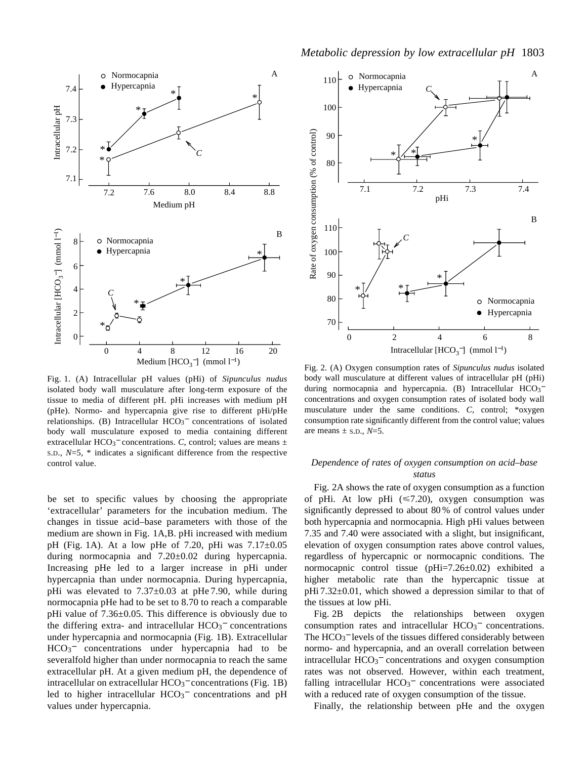

Fig. 1. (A) Intracellular pH values (pHi) of *Sipunculus nudus* isolated body wall musculature after long-term exposure of the tissue to media of different pH. pHi increases with medium pH (pHe). Normo- and hypercapnia give rise to different pHi/pHe relationships. (B) Intracellular HCO<sub>3</sub><sup>-</sup> concentrations of isolated body wall musculature exposed to media containing different extracellular HCO<sub>3</sub><sup> $-$ </sup> concentrations. *C*, control; values are means  $\pm$ S.D., *N*=5, \* indicates a significant difference from the respective control value.

be set to specific values by choosing the appropriate 'extracellular' parameters for the incubation medium. The changes in tissue acid–base parameters with those of the medium are shown in Fig. 1A,B. pHi increased with medium pH (Fig. 1A). At a low pHe of 7.20, pHi was 7.17±0.05 during normocapnia and 7.20±0.02 during hypercapnia. Increasing pHe led to a larger increase in pHi under hypercapnia than under normocapnia. During hypercapnia, pHi was elevated to  $7.37 \pm 0.03$  at pHe 7.90, while during normocapnia pHe had to be set to 8.70 to reach a comparable pHi value of 7.36±0.05. This difference is obviously due to the differing extra- and intracellular  $HCO<sub>3</sub><sup>-</sup>$  concentrations under hypercapnia and normocapnia (Fig. 1B). Extracellular HCO<sub>3</sub><sup>-</sup> concentrations under hypercapnia had to be severalfold higher than under normocapnia to reach the same extracellular pH. At a given medium pH, the dependence of intracellular on extracellular  $HCO<sub>3</sub><sup>-</sup>$  concentrations (Fig. 1B) led to higher intracellular HCO<sub>3</sub><sup>-</sup> concentrations and pH values under hypercapnia.



Fig. 2. (A) Oxygen consumption rates of *Sipunculus nudus* isolated body wall musculature at different values of intracellular pH (pHi) during normocapnia and hypercapnia. (B) Intracellular HCO<sub>3</sub>concentrations and oxygen consumption rates of isolated body wall musculature under the same conditions. *C*, control; \*oxygen consumption rate significantly different from the control value; values are means  $\pm$  s.p.,  $N=5$ .

# *Dependence of rates of oxygen consumption on acid–base status*

Fig. 2A shows the rate of oxygen consumption as a function of pHi. At low pHi  $(\leq 7.20)$ , oxygen consumption was significantly depressed to about 80 % of control values under both hypercapnia and normocapnia. High pHi values between 7.35 and 7.40 were associated with a slight, but insignificant, elevation of oxygen consumption rates above control values, regardless of hypercapnic or normocapnic conditions. The normocapnic control tissue (pHi=7.26±0.02) exhibited a higher metabolic rate than the hypercapnic tissue at  $pHi 7.32±0.01$ , which showed a depression similar to that of the tissues at low pHi.

Fig. 2B depicts the relationships between oxygen consumption rates and intracellular  $HCO<sub>3</sub><sup>-</sup>$  concentrations. The HCO<sub>3</sub><sup>-</sup> levels of the tissues differed considerably between normo- and hypercapnia, and an overall correlation between intracellular HCO<sub>3</sub><sup>-</sup> concentrations and oxygen consumption rates was not observed. However, within each treatment, falling intracellular  $HCO<sub>3</sub><sup>-</sup>$  concentrations were associated with a reduced rate of oxygen consumption of the tissue.

Finally, the relationship between pHe and the oxygen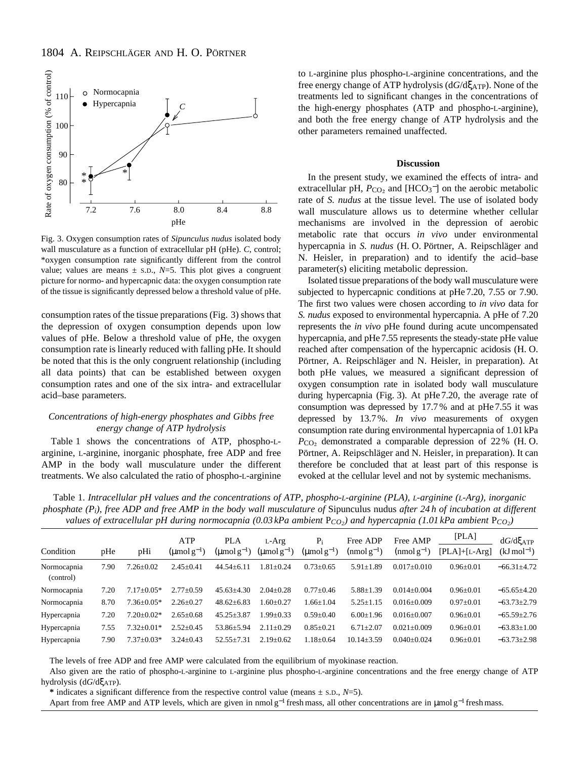

Fig. 3. Oxygen consumption rates of *Sipunculus nudus* isolated body wall musculature as a function of extracellular pH (pHe). *C*, control; \*oxygen consumption rate significantly different from the control value; values are means  $\pm$  s.p.,  $N=5$ . This plot gives a congruent picture for normo- and hypercapnic data: the oxygen consumption rate of the tissue is significantly depressed below a threshold value of pHe.

consumption rates of the tissue preparations (Fig. 3) shows that the depression of oxygen consumption depends upon low values of pHe. Below a threshold value of pHe, the oxygen consumption rate is linearly reduced with falling pHe. It should be noted that this is the only congruent relationship (including all data points) that can be established between oxygen consumption rates and one of the six intra- and extracellular acid–base parameters.

### *Concentrations of high-energy phosphates and Gibbs free energy change of ATP hydrolysis*

Table 1 shows the concentrations of ATP, phospho-Larginine, L-arginine, inorganic phosphate, free ADP and free AMP in the body wall musculature under the different treatments. We also calculated the ratio of phospho-L-arginine to L-arginine plus phospho-L-arginine concentrations, and the free energy change of ATP hydrolysis (d*G*/dξATP). None of the treatments led to significant changes in the concentrations of the high-energy phosphates (ATP and phospho-L-arginine), and both the free energy change of ATP hydrolysis and the other parameters remained unaffected.

#### **Discussion**

In the present study, we examined the effects of intra- and extracellular pH,  $P_{CO_2}$  and [HCO<sub>3</sub><sup>-</sup>] on the aerobic metabolic rate of *S. nudus* at the tissue level. The use of isolated body wall musculature allows us to determine whether cellular mechanisms are involved in the depression of aerobic metabolic rate that occurs *in vivo* under environmental hypercapnia in *S. nudus* (H. O. Pörtner, A. Reipschläger and N. Heisler, in preparation) and to identify the acid–base parameter(s) eliciting metabolic depression.

Isolated tissue preparations of the body wall musculature were subjected to hypercapnic conditions at pHe 7.20, 7.55 or 7.90. The first two values were chosen according to *in vivo* data for *S. nudus* exposed to environmental hypercapnia. A pHe of 7.20 represents the *in vivo* pHe found during acute uncompensated hypercapnia, and pHe 7.55 represents the steady-state pHe value reached after compensation of the hypercapnic acidosis (H. O. Pörtner, A. Reipschläger and N. Heisler, in preparation). At both pHe values, we measured a significant depression of oxygen consumption rate in isolated body wall musculature during hypercapnia (Fig. 3). At pHe 7.20, the average rate of consumption was depressed by 17.7 % and at pHe 7.55 it was depressed by 13.7 %. *In vivo* measurements of oxygen consumption rate during environmental hypercapnia of 1.01 kPa *P*<sub>CO<sub>2</sub></sub> demonstrated a comparable depression of 22 % (H.O. Pörtner, A. Reipschläger and N. Heisler, in preparation). It can therefore be concluded that at least part of this response is evoked at the cellular level and not by systemic mechanisms.

Table 1. *Intracellular pH values and the concentrations of ATP, phospho-L-arginine (PLA), L-arginine (L-Arg), inorganic phosphate (Pi), free ADP and free AMP in the body wall musculature of* Sipunculus nudus *after 24 h of incubation at different values of extracellular pH during normocapnia (0.03 kPa ambient* P*CO2) and hypercapnia (1.01 kPa ambient* P*CO2)*

|                          |      |                  | ATP                            | <b>PLA</b>                     | $L-Arg$                | $P_i$                          | Free ADP         | Free AMP          | [PLA]           | $dG/d\xi_{ATP}$          |
|--------------------------|------|------------------|--------------------------------|--------------------------------|------------------------|--------------------------------|------------------|-------------------|-----------------|--------------------------|
| Condition                | pHe  | pHi              | $(\text{umol}\,\text{g}^{-1})$ | $(\text{umol}\,\text{g}^{-1})$ | $(\text{umol }g^{-1})$ | $(\text{µmol}\,\text{g}^{-1})$ | $(nmol g-1)$     | $(nmol g^{-1})$   | $[PLA]+[L-Arg]$ | $(kJ \,\text{mol}^{-1})$ |
| Normocapnia<br>(control) | 7.90 | $7.26 \pm 0.02$  | $2.45 \pm 0.41$                | $44.54 + 6.11$                 | $.81 \pm 0.24$         | $0.73 \pm 0.65$                | $5.91 \pm 1.89$  | $0.017 + 0.010$   | $0.96 \pm 0.01$ | $-66.31 \pm 4.72$        |
| Normocapnia              | 7.20 | $7.17 \pm 0.05*$ | $2.77 \pm 0.59$                | $45.63 + 4.30$                 | $2.04 + 0.28$          | $0.77 \pm 0.46$                | $5.88 \pm 1.39$  | $0.014 \pm 0.004$ | $0.96 \pm 0.01$ | $-65.65+4.20$            |
| Normocapnia              | 8.70 | $7.36 \pm 0.05*$ | $2.26 \pm 0.27$                | $48.62 \pm 6.83$               | $.60 \pm 0.27$         | $1.66 \pm 1.04$                | $5.25 \pm 1.15$  | $0.016 + 0.009$   | $0.97 \pm 0.01$ | $-63.73 \pm 2.79$        |
| Hypercapnia              | 7.20 | $7.20 \pm 0.02*$ | $2.65 \pm 0.68$                | $45.25 \pm 3.87$               | $.99 \pm 0.33$         | $0.59 \pm 0.40$                | $6.00 \pm 1.96$  | $0.016 \pm 0.007$ | $0.96 \pm 0.01$ | $-65.59 \pm 2.76$        |
| Hypercapnia              | 7.55 | $7.32 \pm 0.01*$ | $2.52 \pm 0.45$                | 53.86+5.94                     | $2.11 + 0.29$          | $0.85 \pm 0.21$                | $6.71 + 2.07$    | $0.021 \pm 0.009$ | $0.96 \pm 0.01$ | $-63.83 \pm 1.00$        |
| Hypercapnia              | 7.90 | $7.37 \pm 0.03*$ | $3.24 \pm 0.43$                | $52.55 + 7.31$                 | $2.19 + 0.62$          | $1.18 \pm 0.64$                | $10.14 \pm 3.59$ | $0.040 + 0.024$   | $0.96 \pm 0.01$ | $-63.73 \pm 2.98$        |

The levels of free ADP and free AMP were calculated from the equilibrium of myokinase reaction.

Also given are the ratio of phospho-L-arginine to L-arginine plus phospho-L-arginine concentrations and the free energy change of ATP hydrolysis (d*G*/dξATP).

**\*** indicates a significant difference from the respective control value (means ± S.D., *N*=5).

Apart from free AMP and ATP levels, which are given in nmol  $g^{-1}$  fresh mass, all other concentrations are in  $\mu$ mol  $g^{-1}$  fresh mass.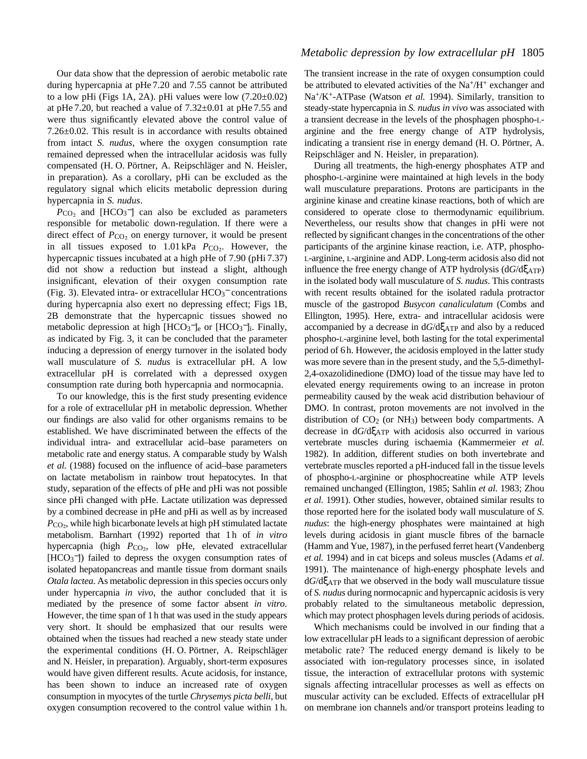Our data show that the depression of aerobic metabolic rate during hypercapnia at pHe 7.20 and 7.55 cannot be attributed to a low pHi (Figs 1A, 2A). pHi values were low (7.20±0.02) at pHe 7.20, but reached a value of  $7.32\pm0.01$  at pHe 7.55 and were thus significantly elevated above the control value of 7.26±0.02. This result is in accordance with results obtained from intact *S. nudus*, where the oxygen consumption rate remained depressed when the intracellular acidosis was fully compensated (H. O. Pörtner, A. Reipschläger and N. Heisler, in preparation). As a corollary, pHi can be excluded as the regulatory signal which elicits metabolic depression during hypercapnia in *S. nudus*.

 $P_{CO<sub>2</sub>}$  and [HCO<sub>3</sub><sup>-</sup>] can also be excluded as parameters responsible for metabolic down-regulation. If there were a direct effect of *P*<sub>CO</sub><sub>2</sub> on energy turnover, it would be present in all tissues exposed to 1.01 kPa *P*CO2. However, the hypercapnic tissues incubated at a high pHe of 7.90 (pHi 7.37) did not show a reduction but instead a slight, although insignificant, elevation of their oxygen consumption rate (Fig. 3). Elevated intra- or extracellular  $HCO<sub>3</sub><sup>-</sup>$  concentrations during hypercapnia also exert no depressing effect; Figs 1B, 2B demonstrate that the hypercapnic tissues showed no metabolic depression at high [HCO<sub>3</sub><sup>-</sup>]<sub>e</sub> or [HCO<sub>3</sub><sup>-</sup>]<sub>i</sub>. Finally, as indicated by Fig. 3, it can be concluded that the parameter inducing a depression of energy turnover in the isolated body wall musculature of *S. nudus* is extracellular pH. A low extracellular pH is correlated with a depressed oxygen consumption rate during both hypercapnia and normocapnia.

To our knowledge, this is the first study presenting evidence for a role of extracellular pH in metabolic depression. Whether our findings are also valid for other organisms remains to be established. We have discriminated between the effects of the individual intra- and extracellular acid–base parameters on metabolic rate and energy status. A comparable study by Walsh *et al.* (1988) focused on the influence of acid–base parameters on lactate metabolism in rainbow trout hepatocytes. In that study, separation of the effects of pHe and pHi was not possible since pHi changed with pHe. Lactate utilization was depressed by a combined decrease in pHe and pHi as well as by increased  $P_{\rm CO_2}$ , while high bicarbonate levels at high pH stimulated lactate metabolism. Barnhart (1992) reported that 1 h of *in vitro* hypercapnia (high *P*<sub>CO2</sub>, low pHe, elevated extracellular [HCO<sub>3</sub><sup>-</sup>]) failed to depress the oxygen consumption rates of isolated hepatopancreas and mantle tissue from dormant snails *Otala lactea*. As metabolic depression in this species occurs only under hypercapnia *in vivo*, the author concluded that it is mediated by the presence of some factor absent *in vitro*. However, the time span of 1 h that was used in the study appears very short. It should be emphasized that our results were obtained when the tissues had reached a new steady state under the experimental conditions (H. O. Pörtner, A. Reipschläger and N. Heisler, in preparation). Arguably, short-term exposures would have given different results. Acute acidosis, for instance, has been shown to induce an increased rate of oxygen consumption in myocytes of the turtle *Chrysemys picta belli*, but oxygen consumption recovered to the control value within 1 h.

# *Metabolic depression by low extracellular pH* 1805

The transient increase in the rate of oxygen consumption could be attributed to elevated activities of the  $Na^+/H^+$  exchanger and Na+/K+-ATPase (Watson *et al.* 1994). Similarly, transition to steady-state hypercapnia in *S. nudus in vivo* was associated with a transient decrease in the levels of the phosphagen phospho-Larginine and the free energy change of ATP hydrolysis, indicating a transient rise in energy demand (H. O. Pörtner, A. Reipschläger and N. Heisler, in preparation).

During all treatments, the high-energy phosphates ATP and phospho-L-arginine were maintained at high levels in the body wall musculature preparations. Protons are participants in the arginine kinase and creatine kinase reactions, both of which are considered to operate close to thermodynamic equilibrium. Nevertheless, our results show that changes in pHi were not reflected by significant changes in the concentrations of the other participants of the arginine kinase reaction, i.e. ATP, phospho-L-arginine, L-arginine and ADP. Long-term acidosis also did not influence the free energy change of ATP hydrolysis (d*G*/dξATP) in the isolated body wall musculature of *S. nudus*. This contrasts with recent results obtained for the isolated radula protractor muscle of the gastropod *Busycon canaliculatum* (Combs and Ellington, 1995). Here, extra- and intracellular acidosis were accompanied by a decrease in d*G*/dξATP and also by a reduced phospho-L-arginine level, both lasting for the total experimental period of 6 h. However, the acidosis employed in the latter study was more severe than in the present study, and the 5,5-dimethyl-2,4-oxazolidinedione (DMO) load of the tissue may have led to elevated energy requirements owing to an increase in proton permeability caused by the weak acid distribution behaviour of DMO. In contrast, proton movements are not involved in the distribution of  $CO<sub>2</sub>$  (or NH<sub>3</sub>) between body compartments. A decrease in d*G*/dξATP with acidosis also occurred in various vertebrate muscles during ischaemia (Kammermeier *et al.* 1982). In addition, different studies on both invertebrate and vertebrate muscles reported a pH-induced fall in the tissue levels of phospho-L-arginine or phosphocreatine while ATP levels remained unchanged (Ellington, 1985; Sahlin *et al.* 1983; Zhou *et al.* 1991). Other studies, however, obtained similar results to those reported here for the isolated body wall musculature of *S. nudus*: the high-energy phosphates were maintained at high levels during acidosis in giant muscle fibres of the barnacle (Hamm and Yue, 1987), in the perfused ferret heart (Vandenberg *et al.* 1994) and in cat biceps and soleus muscles (Adams *et al.* 1991). The maintenance of high-energy phosphate levels and d*G*/dξATP that we observed in the body wall musculature tissue of *S. nudus* during normocapnic and hypercapnic acidosis is very probably related to the simultaneous metabolic depression, which may protect phosphagen levels during periods of acidosis.

Which mechanisms could be involved in our finding that a low extracellular pH leads to a significant depression of aerobic metabolic rate? The reduced energy demand is likely to be associated with ion-regulatory processes since, in isolated tissue, the interaction of extracellular protons with systemic signals affecting intracellular processes as well as effects on muscular activity can be excluded. Effects of extracellular pH on membrane ion channels and/or transport proteins leading to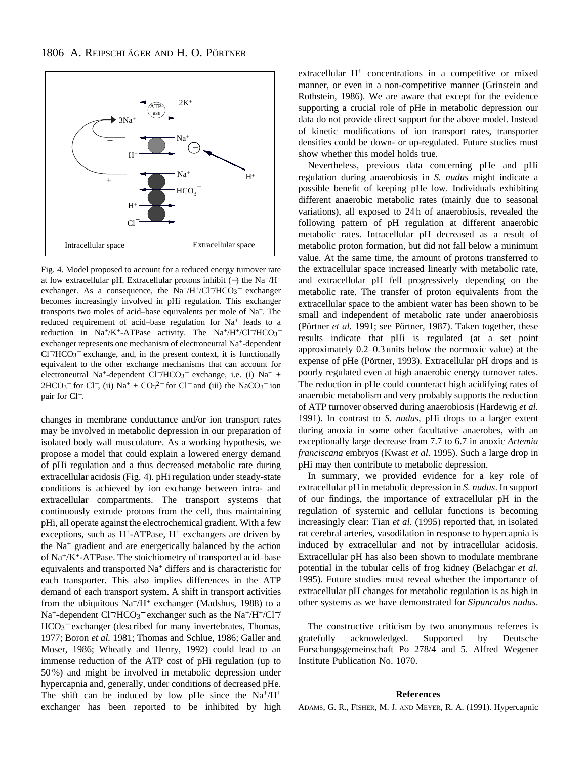

Fig. 4. Model proposed to account for a reduced energy turnover rate at low extracellular pH. Extracellular protons inhibit (−) the Na+/H+ exchanger. As a consequence, the Na<sup>+</sup>/H<sup>+</sup>/Cl<sup>−</sup>/HCO<sub>3</sub><sup>−</sup> exchanger becomes increasingly involved in pHi regulation. This exchanger transports two moles of acid–base equivalents per mole of Na+. The reduced requirement of acid–base regulation for Na+ leads to a reduction in Na<sup>+</sup>/K<sup>+</sup>-ATPase activity. The Na<sup>+</sup>/H<sup>+</sup>/Cl<sup>-</sup>/HCO<sub>3</sub><sup>-</sup> exchanger represents one mechanism of electroneutral Na+-dependent Cl−/HCO3 <sup>−</sup> exchange, and, in the present context, it is functionally equivalent to the other exchange mechanisms that can account for electroneutral Na<sup>+</sup>-dependent Cl<sup>−</sup>/HCO<sub>3</sub><sup>-</sup> exchange, i.e. (i) Na<sup>+</sup> +  $2HCO<sub>3</sub><sup>-</sup>$  for Cl<sup>-</sup>, (ii) Na<sup>+</sup> + CO<sub>3</sub><sup>2-</sup> for Cl<sup>-</sup> and (iii) the NaCO<sub>3</sub><sup>-</sup> ion pair for Cl−.

changes in membrane conductance and/or ion transport rates may be involved in metabolic depression in our preparation of isolated body wall musculature. As a working hypothesis, we propose a model that could explain a lowered energy demand of pHi regulation and a thus decreased metabolic rate during extracellular acidosis (Fig. 4). pHi regulation under steady-state conditions is achieved by ion exchange between intra- and extracellular compartments. The transport systems that continuously extrude protons from the cell, thus maintaining pHi, all operate against the electrochemical gradient. With a few exceptions, such as  $H^+$ -ATPase,  $H^+$  exchangers are driven by the Na+ gradient and are energetically balanced by the action of Na+/K+-ATPase. The stoichiometry of transported acid–base equivalents and transported Na+ differs and is characteristic for each transporter. This also implies differences in the ATP demand of each transport system. A shift in transport activities from the ubiquitous  $Na^{+}/H^{+}$  exchanger (Madshus, 1988) to a Na<sup>+</sup>-dependent Cl<sup>−</sup>/HCO<sub>3</sub><sup>-</sup> exchanger such as the Na<sup>+</sup>/H<sup>+</sup>/Cl<sup>−/</sup> HCO<sub>3</sub><sup>-</sup> exchanger (described for many invertebrates, Thomas, 1977; Boron *et al.* 1981; Thomas and Schlue, 1986; Galler and Moser, 1986; Wheatly and Henry, 1992) could lead to an immense reduction of the ATP cost of pHi regulation (up to 50 %) and might be involved in metabolic depression under hypercapnia and, generally, under conditions of decreased pHe. The shift can be induced by low pHe since the  $Na^+/H^+$ exchanger has been reported to be inhibited by high extracellular H<sup>+</sup> concentrations in a competitive or mixed manner, or even in a non-competitive manner (Grinstein and Rothstein, 1986). We are aware that except for the evidence supporting a crucial role of pHe in metabolic depression our data do not provide direct support for the above model. Instead of kinetic modifications of ion transport rates, transporter densities could be down- or up-regulated. Future studies must show whether this model holds true.

Nevertheless, previous data concerning pHe and pHi regulation during anaerobiosis in *S. nudus* might indicate a possible benefit of keeping pHe low. Individuals exhibiting different anaerobic metabolic rates (mainly due to seasonal variations), all exposed to 24 h of anaerobiosis, revealed the following pattern of pH regulation at different anaerobic metabolic rates. Intracellular pH decreased as a result of metabolic proton formation, but did not fall below a minimum value. At the same time, the amount of protons transferred to the extracellular space increased linearly with metabolic rate, and extracellular pH fell progressively depending on the metabolic rate. The transfer of proton equivalents from the extracellular space to the ambient water has been shown to be small and independent of metabolic rate under anaerobiosis (Pörtner *et al.* 1991; see Pörtner, 1987). Taken together, these results indicate that pHi is regulated (at a set point approximately 0.2–0.3 units below the normoxic value) at the expense of pHe (Pörtner, 1993). Extracellular pH drops and is poorly regulated even at high anaerobic energy turnover rates. The reduction in pHe could counteract high acidifying rates of anaerobic metabolism and very probably supports the reduction of ATP turnover observed during anaerobiosis (Hardewig *et al.* 1991). In contrast to *S. nudus*, pHi drops to a larger extent during anoxia in some other facultative anaerobes, with an exceptionally large decrease from 7.7 to 6.7 in anoxic *Artemia franciscana* embryos (Kwast *et al.* 1995). Such a large drop in pHi may then contribute to metabolic depression.

In summary, we provided evidence for a key role of extracellular pH in metabolic depression in *S. nudus*. In support of our findings, the importance of extracellular pH in the regulation of systemic and cellular functions is becoming increasingly clear: Tian *et al.* (1995) reported that, in isolated rat cerebral arteries, vasodilation in response to hypercapnia is induced by extracellular and not by intracellular acidosis. Extracellular pH has also been shown to modulate membrane potential in the tubular cells of frog kidney (Belachgar *et al.* 1995). Future studies must reveal whether the importance of extracellular pH changes for metabolic regulation is as high in other systems as we have demonstrated for *Sipunculus nudus*.

The constructive criticism by two anonymous referees is gratefully acknowledged. Supported by Deutsche Forschungsgemeinschaft Po 278/4 and 5. Alfred Wegener Institute Publication No. 1070.

#### **References**

ADAMS, G. R., FISHER, M. J. AND MEYER, R. A. (1991). Hypercapnic